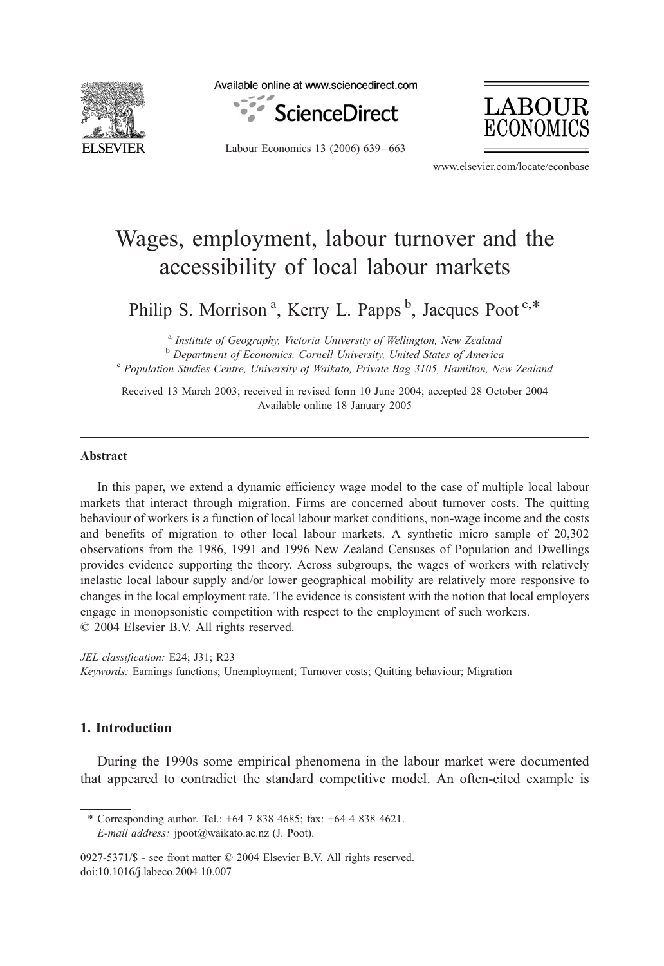

Available online at www.sciencedirect.com





Labour Economics 13 (2006) 639 – 663

www.elsevier.com/locate/econbase

## Wages, employment, labour turnover and the accessibility of local labour markets

Philip S. Morrison<sup>a</sup>, Kerry L. Papps<sup>b</sup>, Jacques Poot<sup>c,\*</sup>

<sup>a</sup> Institute of Geography, Victoria University of Wellington, New Zealand

<sup>b</sup> Department of Economics, Cornell University, United States of America<br><sup>c</sup> Population Studies Centre, University of Waikato, Private Bag 3105, Hamilton, New Zealand

Received 13 March 2003; received in revised form 10 June 2004; accepted 28 October 2004 Available online 18 January 2005

## Abstract

In this paper, we extend a dynamic efficiency wage model to the case of multiple local labour markets that interact through migration. Firms are concerned about turnover costs. The quitting behaviour of workers is a function of local labour market conditions, non-wage income and the costs and benefits of migration to other local labour markets. A synthetic micro sample of 20,302 observations from the 1986, 1991 and 1996 New Zealand Censuses of Population and Dwellings provides evidence supporting the theory. Across subgroups, the wages of workers with relatively inelastic local labour supply and/or lower geographical mobility are relatively more responsive to changes in the local employment rate. The evidence is consistent with the notion that local employers engage in monopsonistic competition with respect to the employment of such workers.  $\odot$  2004 Elsevier B.V. All rights reserved.

JEL classification: E24; J31; R23 Keywords: Earnings functions; Unemployment; Turnover costs; Quitting behaviour; Migration

## 1. Introduction

During the 1990s some empirical phenomena in the labour market were documented that appeared to contradict the standard competitive model. An often-cited example is

\* Corresponding author. Tel.: +64 7 838 4685; fax: +64 4 838 4621. E-mail address: jpoot@waikato.ac.nz (J. Poot).

<sup>0927-5371/\$ -</sup> see front matter © 2004 Elsevier B.V. All rights reserved. doi:10.1016/j.labeco.2004.10.007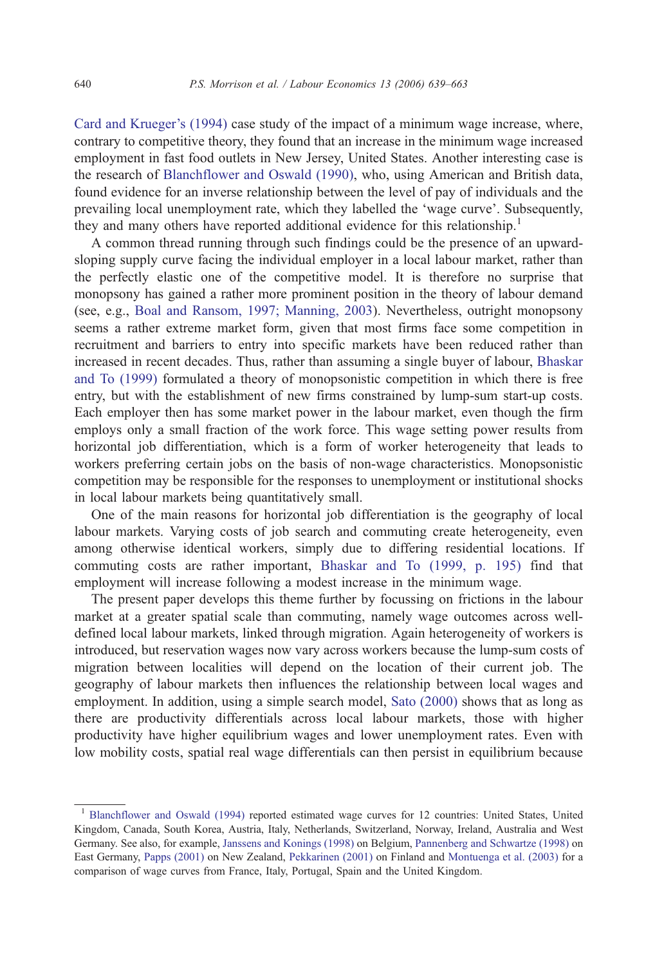[Card and Krueger's \(1994\)](#page--1-0) case study of the impact of a minimum wage increase, where, contrary to competitive theory, they found that an increase in the minimum wage increased employment in fast food outlets in New Jersey, United States. Another interesting case is the research of [Blanchflower and Oswald \(1990\),](#page--1-0) who, using American and British data, found evidence for an inverse relationship between the level of pay of individuals and the prevailing local unemployment rate, which they labelled the 'wage curve'. Subsequently, they and many others have reported additional evidence for this relationship.<sup>1</sup>

A common thread running through such findings could be the presence of an upwardsloping supply curve facing the individual employer in a local labour market, rather than the perfectly elastic one of the competitive model. It is therefore no surprise that monopsony has gained a rather more prominent position in the theory of labour demand (see, e.g., [Boal and Ransom, 1997; Manning, 2003\)](#page--1-0). Nevertheless, outright monopsony seems a rather extreme market form, given that most firms face some competition in recruitment and barriers to entry into specific markets have been reduced rather than increased in recent decades. Thus, rather than assuming a single buyer of labour, [Bhaskar](#page--1-0) and To (1999) formulated a theory of monopsonistic competition in which there is free entry, but with the establishment of new firms constrained by lump-sum start-up costs. Each employer then has some market power in the labour market, even though the firm employs only a small fraction of the work force. This wage setting power results from horizontal job differentiation, which is a form of worker heterogeneity that leads to workers preferring certain jobs on the basis of non-wage characteristics. Monopsonistic competition may be responsible for the responses to unemployment or institutional shocks in local labour markets being quantitatively small.

One of the main reasons for horizontal job differentiation is the geography of local labour markets. Varying costs of job search and commuting create heterogeneity, even among otherwise identical workers, simply due to differing residential locations. If commuting costs are rather important, [Bhaskar and To \(1999, p. 195\)](#page--1-0) find that employment will increase following a modest increase in the minimum wage.

The present paper develops this theme further by focussing on frictions in the labour market at a greater spatial scale than commuting, namely wage outcomes across welldefined local labour markets, linked through migration. Again heterogeneity of workers is introduced, but reservation wages now vary across workers because the lump-sum costs of migration between localities will depend on the location of their current job. The geography of labour markets then influences the relationship between local wages and employment. In addition, using a simple search model, [Sato \(2000\)](#page--1-0) shows that as long as there are productivity differentials across local labour markets, those with higher productivity have higher equilibrium wages and lower unemployment rates. Even with low mobility costs, spatial real wage differentials can then persist in equilibrium because

<sup>&</sup>lt;sup>1</sup> [Blanchflower and Oswald \(1994\)](#page--1-0) reported estimated wage curves for 12 countries: United States, United Kingdom, Canada, South Korea, Austria, Italy, Netherlands, Switzerland, Norway, Ireland, Australia and West Germany. See also, for example, [Janssens and Konings \(1998\)](#page--1-0) on Belgium, [Pannenberg and Schwartze \(1998\)](#page--1-0) on East Germany, [Papps \(2001\)](#page--1-0) on New Zealand, [Pekkarinen \(2001\)](#page--1-0) on Finland and [Montuenga et al. \(2003\)](#page--1-0) for a comparison of wage curves from France, Italy, Portugal, Spain and the United Kingdom.